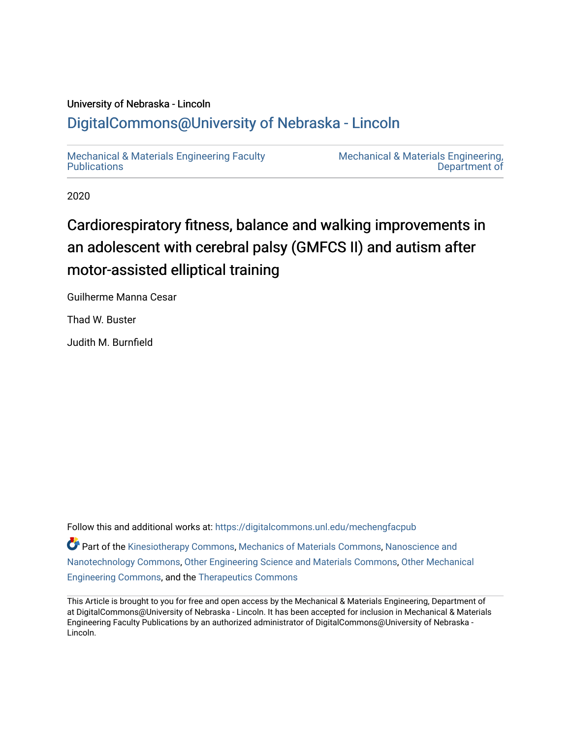# University of Nebraska - Lincoln [DigitalCommons@University of Nebraska - Lincoln](https://digitalcommons.unl.edu/)

[Mechanical & Materials Engineering Faculty](https://digitalcommons.unl.edu/mechengfacpub)  **Publications** 

[Mechanical & Materials Engineering,](https://digitalcommons.unl.edu/mechengineer)  [Department of](https://digitalcommons.unl.edu/mechengineer) 

2020

# Cardiorespiratory fitness, balance and walking improvements in an adolescent with cerebral palsy (GMFCS II) and autism after motor-assisted elliptical training

Guilherme Manna Cesar

Thad W. Buster

Judith M. Burnfield

Follow this and additional works at: [https://digitalcommons.unl.edu/mechengfacpub](https://digitalcommons.unl.edu/mechengfacpub?utm_source=digitalcommons.unl.edu%2Fmechengfacpub%2F626&utm_medium=PDF&utm_campaign=PDFCoverPages)  **Part of the [Kinesiotherapy Commons,](http://network.bepress.com/hgg/discipline/757?utm_source=digitalcommons.unl.edu%2Fmechengfacpub%2F626&utm_medium=PDF&utm_campaign=PDFCoverPages) [Mechanics of Materials Commons,](http://network.bepress.com/hgg/discipline/283?utm_source=digitalcommons.unl.edu%2Fmechengfacpub%2F626&utm_medium=PDF&utm_campaign=PDFCoverPages) [Nanoscience and](http://network.bepress.com/hgg/discipline/313?utm_source=digitalcommons.unl.edu%2Fmechengfacpub%2F626&utm_medium=PDF&utm_campaign=PDFCoverPages)** [Nanotechnology Commons](http://network.bepress.com/hgg/discipline/313?utm_source=digitalcommons.unl.edu%2Fmechengfacpub%2F626&utm_medium=PDF&utm_campaign=PDFCoverPages), [Other Engineering Science and Materials Commons](http://network.bepress.com/hgg/discipline/284?utm_source=digitalcommons.unl.edu%2Fmechengfacpub%2F626&utm_medium=PDF&utm_campaign=PDFCoverPages), [Other Mechanical](http://network.bepress.com/hgg/discipline/304?utm_source=digitalcommons.unl.edu%2Fmechengfacpub%2F626&utm_medium=PDF&utm_campaign=PDFCoverPages)  [Engineering Commons,](http://network.bepress.com/hgg/discipline/304?utm_source=digitalcommons.unl.edu%2Fmechengfacpub%2F626&utm_medium=PDF&utm_campaign=PDFCoverPages) and the [Therapeutics Commons](http://network.bepress.com/hgg/discipline/993?utm_source=digitalcommons.unl.edu%2Fmechengfacpub%2F626&utm_medium=PDF&utm_campaign=PDFCoverPages)

This Article is brought to you for free and open access by the Mechanical & Materials Engineering, Department of at DigitalCommons@University of Nebraska - Lincoln. It has been accepted for inclusion in Mechanical & Materials Engineering Faculty Publications by an authorized administrator of DigitalCommons@University of Nebraska - Lincoln.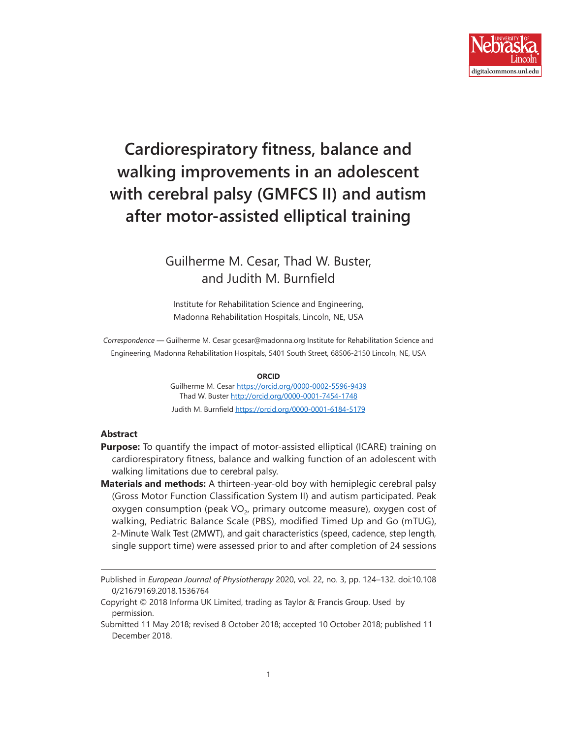

# **Cardiorespiratory fitness, balance and walking improvements in an adolescent with cerebral palsy (GMFCS II) and autism after motor-assisted elliptical training**

## Guilherme M. Cesar, Thad W. Buster, and Judith M. Burnfield

Institute for Rehabilitation Science and Engineering, Madonna Rehabilitation Hospitals, Lincoln, NE, USA

*Correspondence* — Guilherme M. Cesar gcesar@madonna.org Institute for Rehabilitation Science and Engineering, Madonna Rehabilitation Hospitals, 5401 South Street, 68506-2150 Lincoln, NE, USA

#### **ORCID**

Guilherme M. Cesar<https://orcid.org/0000-0002-5596-9439> Thad W. Buster <http://orcid.org/0000-0001-7454-1748> Judith M. Burnfield <https://orcid.org/0000-0001-6184-5179>

#### **Abstract**

- **Purpose:** To quantify the impact of motor-assisted elliptical (ICARE) training on cardiorespiratory fitness, balance and walking function of an adolescent with walking limitations due to cerebral palsy.
- **Materials and methods:** A thirteen-year-old boy with hemiplegic cerebral palsy (Gross Motor Function Classification System II) and autism participated. Peak oxygen consumption (peak  $VO<sub>2</sub>$ , primary outcome measure), oxygen cost of walking, Pediatric Balance Scale (PBS), modified Timed Up and Go (mTUG), 2-Minute Walk Test (2MWT), and gait characteristics (speed, cadence, step length, single support time) were assessed prior to and after completion of 24 sessions

Published in *European Journal of Physiotherapy* 2020, vol. 22, no. 3, pp. 124–132. doi:10.108 0/21679169.2018.1536764

Copyright © 2018 Informa UK Limited, trading as Taylor & Francis Group. Used by permission.

Submitted 11 May 2018; revised 8 October 2018; accepted 10 October 2018; published 11 December 2018.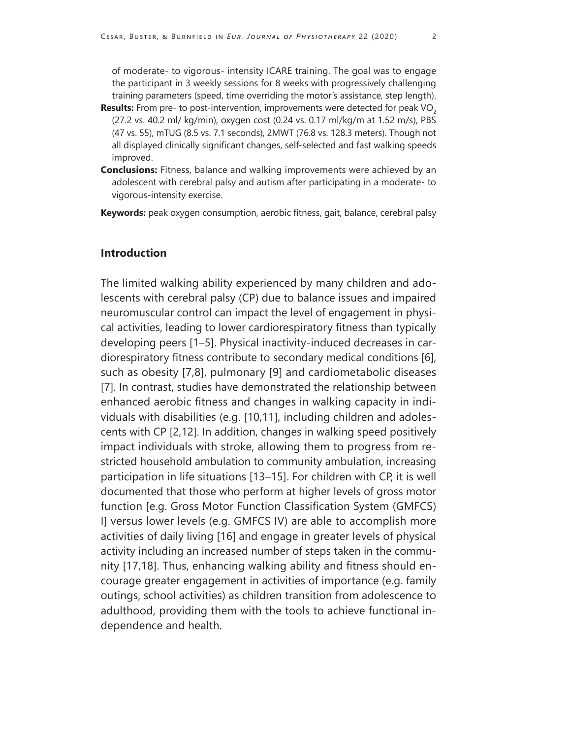of moderate- to vigorous- intensity ICARE training. The goal was to engage the participant in 3 weekly sessions for 8 weeks with progressively challenging training parameters (speed, time overriding the motor's assistance, step length).

- **Results:** From pre- to post-intervention, improvements were detected for peak VO<sub>2</sub> (27.2 vs. 40.2 ml/ kg/min), oxygen cost (0.24 vs. 0.17 ml/kg/m at 1.52 m/s), PBS (47 vs. 55), mTUG (8.5 vs. 7.1 seconds), 2MWT (76.8 vs. 128.3 meters). Though not all displayed clinically significant changes, self-selected and fast walking speeds improved.
- **Conclusions:** Fitness, balance and walking improvements were achieved by an adolescent with cerebral palsy and autism after participating in a moderate- to vigorous-intensity exercise.
- **Keywords:** peak oxygen consumption, aerobic fitness, gait, balance, cerebral palsy

### **Introduction**

The limited walking ability experienced by many children and adolescents with cerebral palsy (CP) due to balance issues and impaired neuromuscular control can impact the level of engagement in physical activities, leading to lower cardiorespiratory fitness than typically developing peers [1–5]. Physical inactivity-induced decreases in cardiorespiratory fitness contribute to secondary medical conditions [6], such as obesity [7,8], pulmonary [9] and cardiometabolic diseases [7]. In contrast, studies have demonstrated the relationship between enhanced aerobic fitness and changes in walking capacity in individuals with disabilities (e.g. [10,11], including children and adolescents with CP [2,12]. In addition, changes in walking speed positively impact individuals with stroke, allowing them to progress from restricted household ambulation to community ambulation, increasing participation in life situations [13–15]. For children with CP, it is well documented that those who perform at higher levels of gross motor function [e.g. Gross Motor Function Classification System (GMFCS) I] versus lower levels (e.g. GMFCS IV) are able to accomplish more activities of daily living [16] and engage in greater levels of physical activity including an increased number of steps taken in the community [17,18]. Thus, enhancing walking ability and fitness should encourage greater engagement in activities of importance (e.g. family outings, school activities) as children transition from adolescence to adulthood, providing them with the tools to achieve functional independence and health.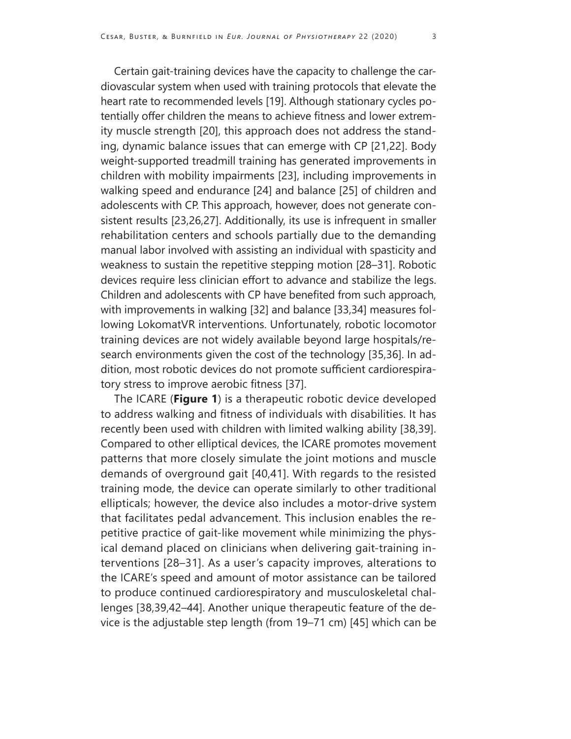Certain gait-training devices have the capacity to challenge the cardiovascular system when used with training protocols that elevate the heart rate to recommended levels [19]. Although stationary cycles potentially offer children the means to achieve fitness and lower extremity muscle strength [20], this approach does not address the standing, dynamic balance issues that can emerge with CP [21,22]. Body weight-supported treadmill training has generated improvements in children with mobility impairments [23], including improvements in walking speed and endurance [24] and balance [25] of children and adolescents with CP. This approach, however, does not generate consistent results [23,26,27]. Additionally, its use is infrequent in smaller rehabilitation centers and schools partially due to the demanding manual labor involved with assisting an individual with spasticity and weakness to sustain the repetitive stepping motion [28–31]. Robotic devices require less clinician effort to advance and stabilize the legs. Children and adolescents with CP have benefited from such approach, with improvements in walking [32] and balance [33,34] measures following LokomatVR interventions. Unfortunately, robotic locomotor training devices are not widely available beyond large hospitals/research environments given the cost of the technology [35,36]. In addition, most robotic devices do not promote sufficient cardiorespiratory stress to improve aerobic fitness [37].

The ICARE (**Figure 1**) is a therapeutic robotic device developed to address walking and fitness of individuals with disabilities. It has recently been used with children with limited walking ability [38,39]. Compared to other elliptical devices, the ICARE promotes movement patterns that more closely simulate the joint motions and muscle demands of overground gait [40,41]. With regards to the resisted training mode, the device can operate similarly to other traditional ellipticals; however, the device also includes a motor-drive system that facilitates pedal advancement. This inclusion enables the repetitive practice of gait-like movement while minimizing the physical demand placed on clinicians when delivering gait-training interventions [28–31]. As a user's capacity improves, alterations to the ICARE's speed and amount of motor assistance can be tailored to produce continued cardiorespiratory and musculoskeletal challenges [38,39,42–44]. Another unique therapeutic feature of the device is the adjustable step length (from 19–71 cm) [45] which can be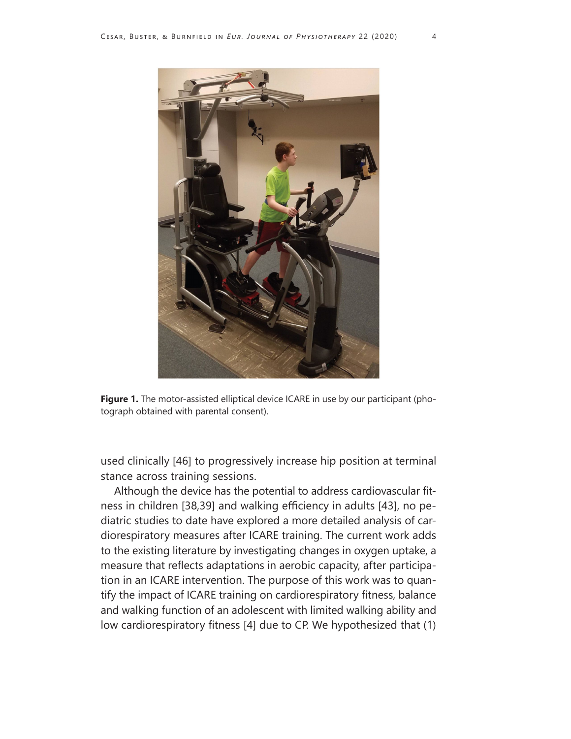

**Figure 1.** The motor-assisted elliptical device ICARE in use by our participant (photograph obtained with parental consent).

used clinically [46] to progressively increase hip position at terminal stance across training sessions.

Although the device has the potential to address cardiovascular fitness in children [38,39] and walking efficiency in adults [43], no pediatric studies to date have explored a more detailed analysis of cardiorespiratory measures after ICARE training. The current work adds to the existing literature by investigating changes in oxygen uptake, a measure that reflects adaptations in aerobic capacity, after participation in an ICARE intervention. The purpose of this work was to quantify the impact of ICARE training on cardiorespiratory fitness, balance and walking function of an adolescent with limited walking ability and low cardiorespiratory fitness [4] due to CP. We hypothesized that (1)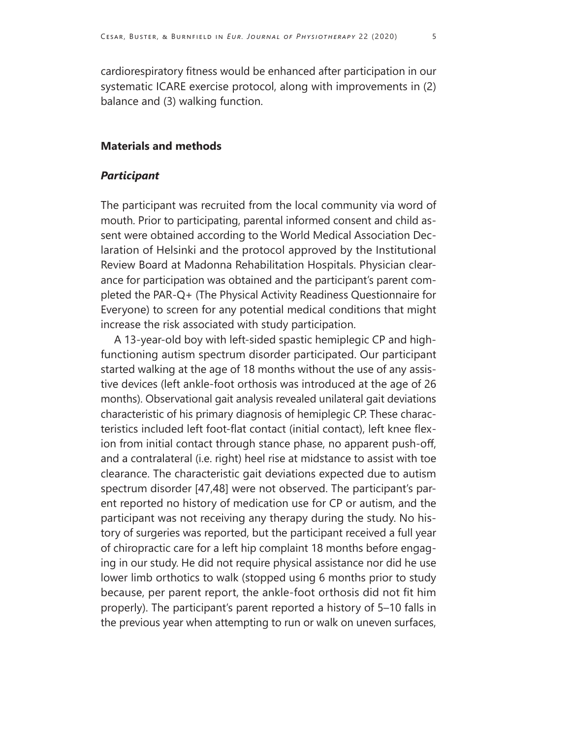cardiorespiratory fitness would be enhanced after participation in our systematic ICARE exercise protocol, along with improvements in (2) balance and (3) walking function.

#### **Materials and methods**

#### *Participant*

The participant was recruited from the local community via word of mouth. Prior to participating, parental informed consent and child assent were obtained according to the World Medical Association Declaration of Helsinki and the protocol approved by the Institutional Review Board at Madonna Rehabilitation Hospitals. Physician clearance for participation was obtained and the participant's parent completed the PAR-Q+ (The Physical Activity Readiness Questionnaire for Everyone) to screen for any potential medical conditions that might increase the risk associated with study participation.

A 13-year-old boy with left-sided spastic hemiplegic CP and highfunctioning autism spectrum disorder participated. Our participant started walking at the age of 18 months without the use of any assistive devices (left ankle-foot orthosis was introduced at the age of 26 months). Observational gait analysis revealed unilateral gait deviations characteristic of his primary diagnosis of hemiplegic CP. These characteristics included left foot-flat contact (initial contact), left knee flexion from initial contact through stance phase, no apparent push-off, and a contralateral (i.e. right) heel rise at midstance to assist with toe clearance. The characteristic gait deviations expected due to autism spectrum disorder [47,48] were not observed. The participant's parent reported no history of medication use for CP or autism, and the participant was not receiving any therapy during the study. No history of surgeries was reported, but the participant received a full year of chiropractic care for a left hip complaint 18 months before engaging in our study. He did not require physical assistance nor did he use lower limb orthotics to walk (stopped using 6 months prior to study because, per parent report, the ankle-foot orthosis did not fit him properly). The participant's parent reported a history of 5–10 falls in the previous year when attempting to run or walk on uneven surfaces,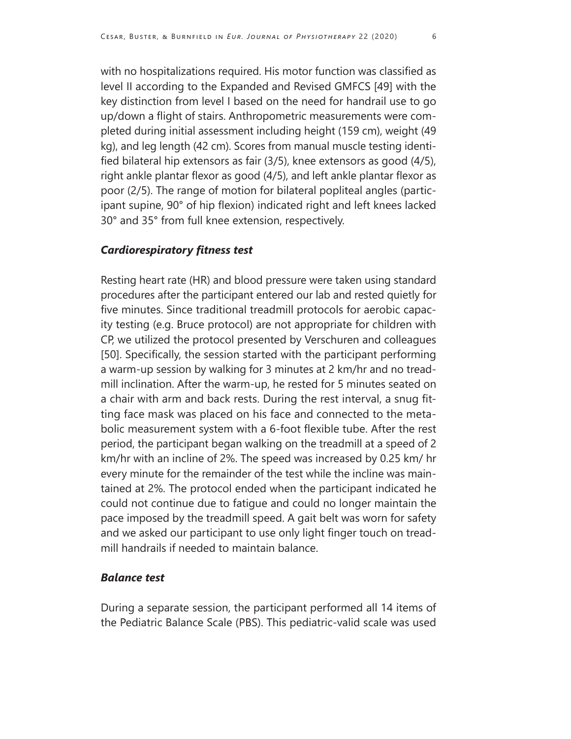with no hospitalizations required. His motor function was classified as level II according to the Expanded and Revised GMFCS [49] with the key distinction from level I based on the need for handrail use to go up/down a flight of stairs. Anthropometric measurements were completed during initial assessment including height (159 cm), weight (49 kg), and leg length (42 cm). Scores from manual muscle testing identified bilateral hip extensors as fair (3/5), knee extensors as good (4/5), right ankle plantar flexor as good (4/5), and left ankle plantar flexor as poor (2/5). The range of motion for bilateral popliteal angles (participant supine, 90° of hip flexion) indicated right and left knees lacked 30° and 35° from full knee extension, respectively.

#### *Cardiorespiratory fitness test*

Resting heart rate (HR) and blood pressure were taken using standard procedures after the participant entered our lab and rested quietly for five minutes. Since traditional treadmill protocols for aerobic capacity testing (e.g. Bruce protocol) are not appropriate for children with CP, we utilized the protocol presented by Verschuren and colleagues [50]. Specifically, the session started with the participant performing a warm-up session by walking for 3 minutes at 2 km/hr and no treadmill inclination. After the warm-up, he rested for 5 minutes seated on a chair with arm and back rests. During the rest interval, a snug fitting face mask was placed on his face and connected to the metabolic measurement system with a 6-foot flexible tube. After the rest period, the participant began walking on the treadmill at a speed of 2 km/hr with an incline of 2%. The speed was increased by 0.25 km/ hr every minute for the remainder of the test while the incline was maintained at 2%. The protocol ended when the participant indicated he could not continue due to fatigue and could no longer maintain the pace imposed by the treadmill speed. A gait belt was worn for safety and we asked our participant to use only light finger touch on treadmill handrails if needed to maintain balance.

#### *Balance test*

During a separate session, the participant performed all 14 items of the Pediatric Balance Scale (PBS). This pediatric-valid scale was used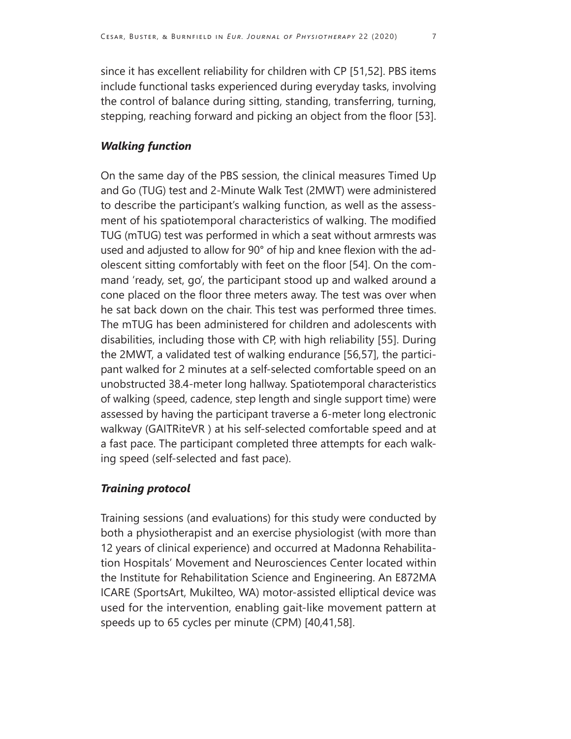since it has excellent reliability for children with CP [51,52]. PBS items include functional tasks experienced during everyday tasks, involving the control of balance during sitting, standing, transferring, turning, stepping, reaching forward and picking an object from the floor [53].

### *Walking function*

On the same day of the PBS session, the clinical measures Timed Up and Go (TUG) test and 2-Minute Walk Test (2MWT) were administered to describe the participant's walking function, as well as the assessment of his spatiotemporal characteristics of walking. The modified TUG (mTUG) test was performed in which a seat without armrests was used and adjusted to allow for 90° of hip and knee flexion with the adolescent sitting comfortably with feet on the floor [54]. On the command 'ready, set, go', the participant stood up and walked around a cone placed on the floor three meters away. The test was over when he sat back down on the chair. This test was performed three times. The mTUG has been administered for children and adolescents with disabilities, including those with CP, with high reliability [55]. During the 2MWT, a validated test of walking endurance [56,57], the participant walked for 2 minutes at a self-selected comfortable speed on an unobstructed 38.4-meter long hallway. Spatiotemporal characteristics of walking (speed, cadence, step length and single support time) were assessed by having the participant traverse a 6-meter long electronic walkway (GAITRiteVR ) at his self-selected comfortable speed and at a fast pace. The participant completed three attempts for each walking speed (self-selected and fast pace).

### *Training protocol*

Training sessions (and evaluations) for this study were conducted by both a physiotherapist and an exercise physiologist (with more than 12 years of clinical experience) and occurred at Madonna Rehabilitation Hospitals' Movement and Neurosciences Center located within the Institute for Rehabilitation Science and Engineering. An E872MA ICARE (SportsArt, Mukilteo, WA) motor-assisted elliptical device was used for the intervention, enabling gait-like movement pattern at speeds up to 65 cycles per minute (CPM) [40,41,58].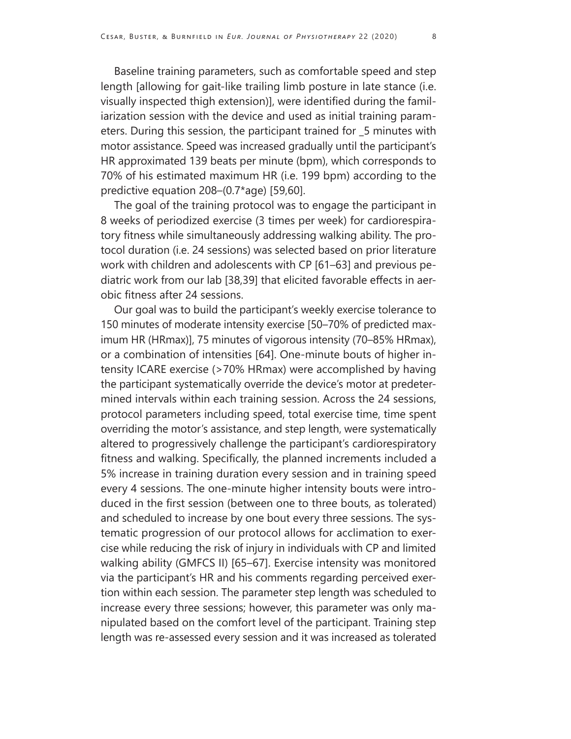Baseline training parameters, such as comfortable speed and step length [allowing for gait-like trailing limb posture in late stance (i.e. visually inspected thigh extension)], were identified during the familiarization session with the device and used as initial training parameters. During this session, the participant trained for \_5 minutes with motor assistance. Speed was increased gradually until the participant's HR approximated 139 beats per minute (bpm), which corresponds to 70% of his estimated maximum HR (i.e. 199 bpm) according to the predictive equation 208–(0.7\*age) [59,60].

The goal of the training protocol was to engage the participant in 8 weeks of periodized exercise (3 times per week) for cardiorespiratory fitness while simultaneously addressing walking ability. The protocol duration (i.e. 24 sessions) was selected based on prior literature work with children and adolescents with CP [61–63] and previous pediatric work from our lab [38,39] that elicited favorable effects in aerobic fitness after 24 sessions.

Our goal was to build the participant's weekly exercise tolerance to 150 minutes of moderate intensity exercise [50–70% of predicted maximum HR (HRmax)], 75 minutes of vigorous intensity (70–85% HRmax), or a combination of intensities [64]. One-minute bouts of higher intensity ICARE exercise (>70% HRmax) were accomplished by having the participant systematically override the device's motor at predetermined intervals within each training session. Across the 24 sessions, protocol parameters including speed, total exercise time, time spent overriding the motor's assistance, and step length, were systematically altered to progressively challenge the participant's cardiorespiratory fitness and walking. Specifically, the planned increments included a 5% increase in training duration every session and in training speed every 4 sessions. The one-minute higher intensity bouts were introduced in the first session (between one to three bouts, as tolerated) and scheduled to increase by one bout every three sessions. The systematic progression of our protocol allows for acclimation to exercise while reducing the risk of injury in individuals with CP and limited walking ability (GMFCS II) [65–67]. Exercise intensity was monitored via the participant's HR and his comments regarding perceived exertion within each session. The parameter step length was scheduled to increase every three sessions; however, this parameter was only manipulated based on the comfort level of the participant. Training step length was re-assessed every session and it was increased as tolerated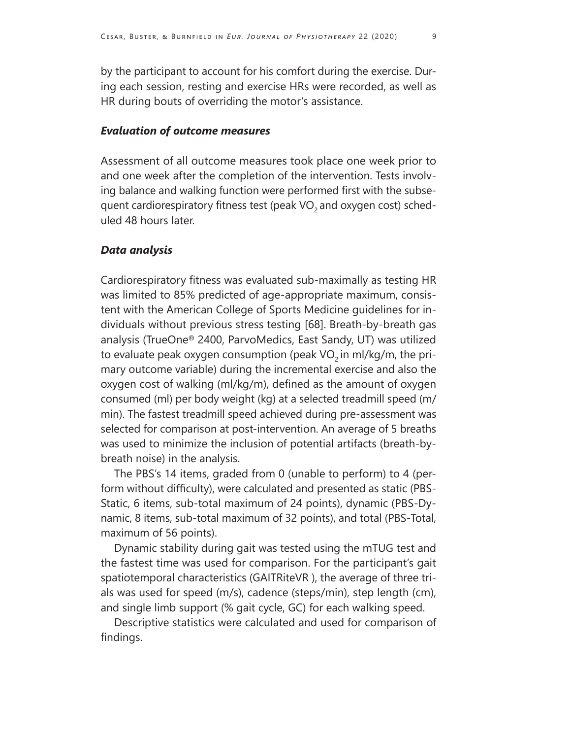by the participant to account for his comfort during the exercise. During each session, resting and exercise HRs were recorded, as well as HR during bouts of overriding the motor's assistance.

#### *Evaluation of outcome measures*

Assessment of all outcome measures took place one week prior to and one week after the completion of the intervention. Tests involving balance and walking function were performed first with the subsequent cardiorespiratory fitness test (peak VO<sub>2</sub> and oxygen cost) scheduled 48 hours later.

#### *Data analysis*

Cardiorespiratory fitness was evaluated sub-maximally as testing HR was limited to 85% predicted of age-appropriate maximum, consistent with the American College of Sports Medicine guidelines for individuals without previous stress testing [68]. Breath-by-breath gas analysis (TrueOne® 2400, ParvoMedics, East Sandy, UT) was utilized to evaluate peak oxygen consumption (peak  $VO<sub>2</sub>$  in ml/kg/m, the primary outcome variable) during the incremental exercise and also the oxygen cost of walking (ml/kg/m), defined as the amount of oxygen consumed (ml) per body weight (kg) at a selected treadmill speed (m/ min). The fastest treadmill speed achieved during pre-assessment was selected for comparison at post-intervention. An average of 5 breaths was used to minimize the inclusion of potential artifacts (breath-bybreath noise) in the analysis.

The PBS's 14 items, graded from 0 (unable to perform) to 4 (perform without difficulty), were calculated and presented as static (PBS-Static, 6 items, sub-total maximum of 24 points), dynamic (PBS-Dynamic, 8 items, sub-total maximum of 32 points), and total (PBS-Total, maximum of 56 points).

Dynamic stability during gait was tested using the mTUG test and the fastest time was used for comparison. For the participant's gait spatiotemporal characteristics (GAITRiteVR ), the average of three trials was used for speed (m/s), cadence (steps/min), step length (cm), and single limb support (% gait cycle, GC) for each walking speed.

Descriptive statistics were calculated and used for comparison of findings.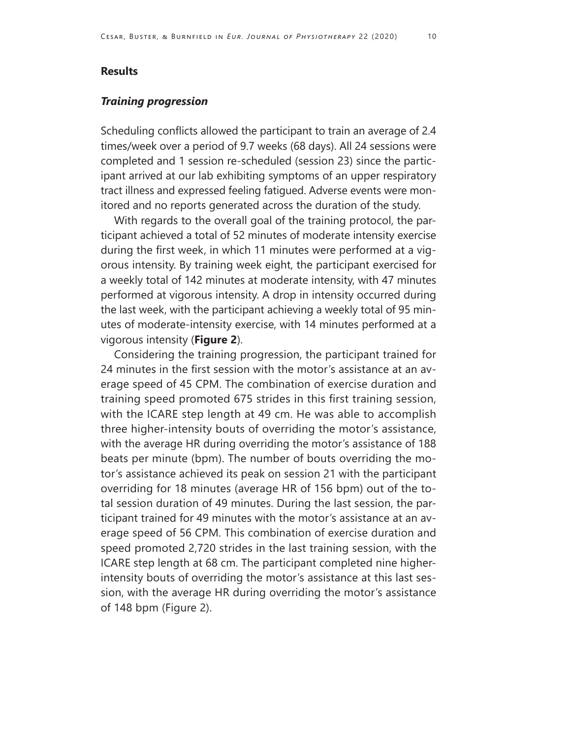#### **Results**

#### *Training progression*

Scheduling conflicts allowed the participant to train an average of 2.4 times/week over a period of 9.7 weeks (68 days). All 24 sessions were completed and 1 session re-scheduled (session 23) since the participant arrived at our lab exhibiting symptoms of an upper respiratory tract illness and expressed feeling fatigued. Adverse events were monitored and no reports generated across the duration of the study.

With regards to the overall goal of the training protocol, the participant achieved a total of 52 minutes of moderate intensity exercise during the first week, in which 11 minutes were performed at a vigorous intensity. By training week eight, the participant exercised for a weekly total of 142 minutes at moderate intensity, with 47 minutes performed at vigorous intensity. A drop in intensity occurred during the last week, with the participant achieving a weekly total of 95 minutes of moderate-intensity exercise, with 14 minutes performed at a vigorous intensity (**Figure 2**).

Considering the training progression, the participant trained for 24 minutes in the first session with the motor's assistance at an average speed of 45 CPM. The combination of exercise duration and training speed promoted 675 strides in this first training session, with the ICARE step length at 49 cm. He was able to accomplish three higher-intensity bouts of overriding the motor's assistance, with the average HR during overriding the motor's assistance of 188 beats per minute (bpm). The number of bouts overriding the motor's assistance achieved its peak on session 21 with the participant overriding for 18 minutes (average HR of 156 bpm) out of the total session duration of 49 minutes. During the last session, the participant trained for 49 minutes with the motor's assistance at an average speed of 56 CPM. This combination of exercise duration and speed promoted 2,720 strides in the last training session, with the ICARE step length at 68 cm. The participant completed nine higherintensity bouts of overriding the motor's assistance at this last session, with the average HR during overriding the motor's assistance of 148 bpm (Figure 2).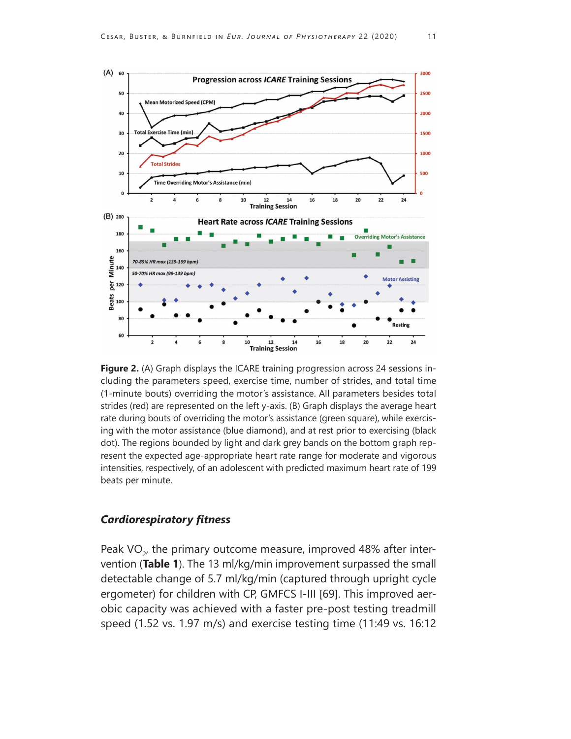

**Figure 2.** (A) Graph displays the ICARE training progression across 24 sessions including the parameters speed, exercise time, number of strides, and total time (1-minute bouts) overriding the motor's assistance. All parameters besides total strides (red) are represented on the left y-axis. (B) Graph displays the average heart rate during bouts of overriding the motor's assistance (green square), while exercising with the motor assistance (blue diamond), and at rest prior to exercising (black dot). The regions bounded by light and dark grey bands on the bottom graph represent the expected age-appropriate heart rate range for moderate and vigorous intensities, respectively, of an adolescent with predicted maximum heart rate of 199 beats per minute.

#### *Cardiorespiratory fitness*

Peak VO<sub> $2$ </sub>, the primary outcome measure, improved 48% after intervention (**Table 1**). The 13 ml/kg/min improvement surpassed the small detectable change of 5.7 ml/kg/min (captured through upright cycle ergometer) for children with CP, GMFCS I-III [69]. This improved aerobic capacity was achieved with a faster pre-post testing treadmill speed (1.52 vs. 1.97 m/s) and exercise testing time (11:49 vs. 16:12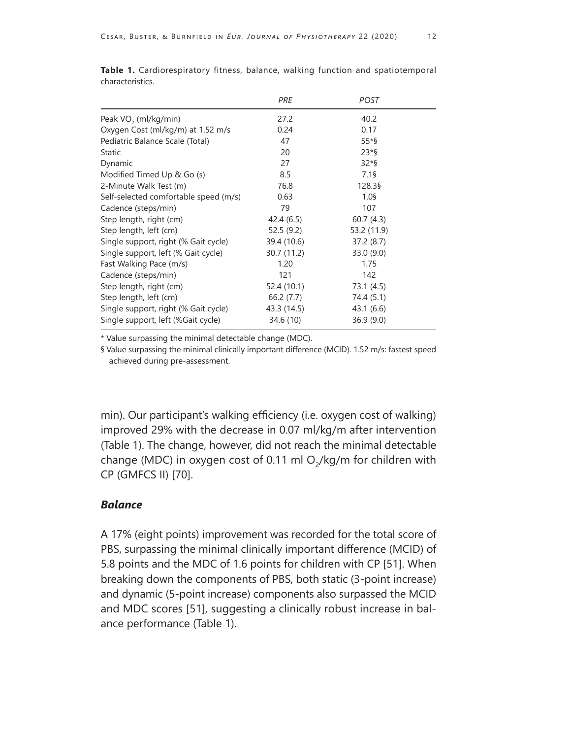|                                       | PRE         | <b>POST</b> |  |
|---------------------------------------|-------------|-------------|--|
| Peak VO <sub>2</sub> (ml/kg/min)      | 27.2        | 40.2        |  |
| Oxygen Cost (ml/kg/m) at 1.52 m/s     | 0.24        | 0.17        |  |
| Pediatric Balance Scale (Total)       | 47          | $55*$       |  |
| Static                                | 20          | $23*$       |  |
| Dynamic                               | 27          | $32*$       |  |
| Modified Timed Up & Go (s)            | 8.5         | 7.1         |  |
| 2-Minute Walk Test (m)                | 76.8        | 128.39      |  |
| Self-selected comfortable speed (m/s) | 0.63        | $1.0$ §     |  |
| Cadence (steps/min)                   | 79          | 107         |  |
| Step length, right (cm)               | 42.4(6.5)   | 60.7(4.3)   |  |
| Step length, left (cm)                | 52.5(9.2)   | 53.2 (11.9) |  |
| Single support, right (% Gait cycle)  | 39.4 (10.6) | 37.2(8.7)   |  |
| Single support, left (% Gait cycle)   | 30.7 (11.2) | 33.0(9.0)   |  |
| Fast Walking Pace (m/s)               | 1.20        | 1.75        |  |
| Cadence (steps/min)                   | 121         | 142         |  |
| Step length, right (cm)               | 52.4 (10.1) | 73.1 (4.5)  |  |
| Step length, left (cm)                | 66.2(7.7)   | 74.4 (5.1)  |  |
| Single support, right (% Gait cycle)  | 43.3 (14.5) | 43.1 (6.6)  |  |
| Single support, left (%Gait cycle)    | 34.6 (10)   | 36.9(9.0)   |  |

**Table 1.** Cardiorespiratory fitness, balance, walking function and spatiotemporal characteristics.

\* Value surpassing the minimal detectable change (MDC).

§ Value surpassing the minimal clinically important difference (MCID). 1.52 m/s: fastest speed achieved during pre-assessment.

min). Our participant's walking efficiency (i.e. oxygen cost of walking) improved 29% with the decrease in 0.07 ml/kg/m after intervention (Table 1). The change, however, did not reach the minimal detectable change (MDC) in oxygen cost of 0.11 ml  $O<sub>2</sub>/kg/m$  for children with CP (GMFCS II) [70].

#### *Balance*

A 17% (eight points) improvement was recorded for the total score of PBS, surpassing the minimal clinically important difference (MCID) of 5.8 points and the MDC of 1.6 points for children with CP [51]. When breaking down the components of PBS, both static (3-point increase) and dynamic (5-point increase) components also surpassed the MCID and MDC scores [51], suggesting a clinically robust increase in balance performance (Table 1).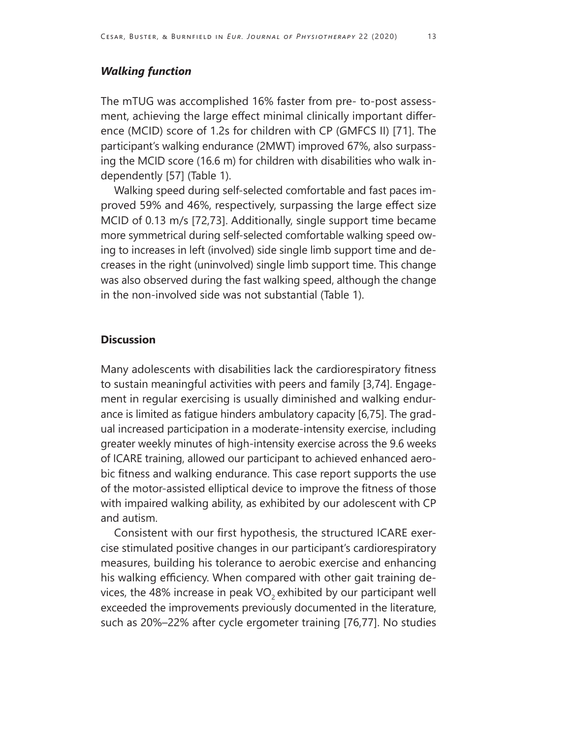## *Walking function*

The mTUG was accomplished 16% faster from pre- to-post assessment, achieving the large effect minimal clinically important difference (MCID) score of 1.2s for children with CP (GMFCS II) [71]. The participant's walking endurance (2MWT) improved 67%, also surpassing the MCID score (16.6 m) for children with disabilities who walk independently [57] (Table 1).

Walking speed during self-selected comfortable and fast paces improved 59% and 46%, respectively, surpassing the large effect size MCID of 0.13 m/s [72,73]. Additionally, single support time became more symmetrical during self-selected comfortable walking speed owing to increases in left (involved) side single limb support time and decreases in the right (uninvolved) single limb support time. This change was also observed during the fast walking speed, although the change in the non-involved side was not substantial (Table 1).

#### **Discussion**

Many adolescents with disabilities lack the cardiorespiratory fitness to sustain meaningful activities with peers and family [3,74]. Engagement in regular exercising is usually diminished and walking endurance is limited as fatigue hinders ambulatory capacity [6,75]. The gradual increased participation in a moderate-intensity exercise, including greater weekly minutes of high-intensity exercise across the 9.6 weeks of ICARE training, allowed our participant to achieved enhanced aerobic fitness and walking endurance. This case report supports the use of the motor-assisted elliptical device to improve the fitness of those with impaired walking ability, as exhibited by our adolescent with CP and autism.

Consistent with our first hypothesis, the structured ICARE exercise stimulated positive changes in our participant's cardiorespiratory measures, building his tolerance to aerobic exercise and enhancing his walking efficiency. When compared with other gait training devices, the 48% increase in peak  $VO<sub>2</sub>$  exhibited by our participant well exceeded the improvements previously documented in the literature, such as 20%–22% after cycle ergometer training [76,77]. No studies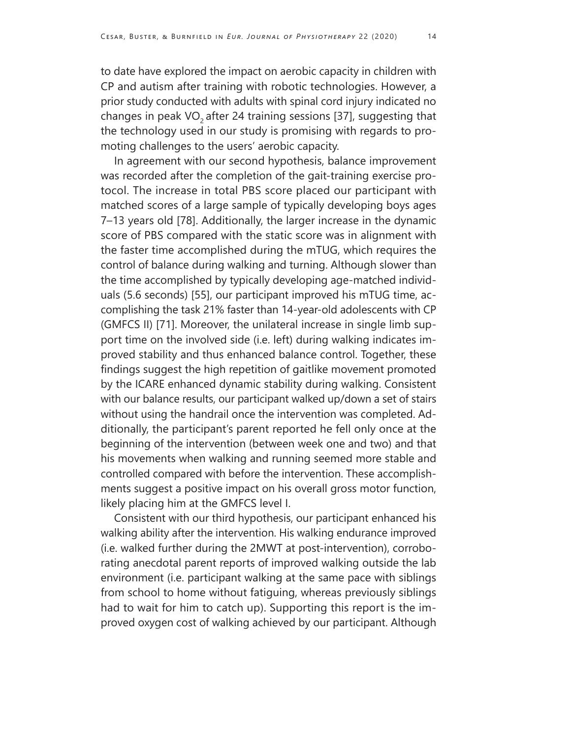to date have explored the impact on aerobic capacity in children with CP and autism after training with robotic technologies. However, a prior study conducted with adults with spinal cord injury indicated no changes in peak  $VO<sub>2</sub>$  after 24 training sessions [37], suggesting that the technology used in our study is promising with regards to promoting challenges to the users' aerobic capacity.

In agreement with our second hypothesis, balance improvement was recorded after the completion of the gait-training exercise protocol. The increase in total PBS score placed our participant with matched scores of a large sample of typically developing boys ages 7–13 years old [78]. Additionally, the larger increase in the dynamic score of PBS compared with the static score was in alignment with the faster time accomplished during the mTUG, which requires the control of balance during walking and turning. Although slower than the time accomplished by typically developing age-matched individuals (5.6 seconds) [55], our participant improved his mTUG time, accomplishing the task 21% faster than 14-year-old adolescents with CP (GMFCS II) [71]. Moreover, the unilateral increase in single limb support time on the involved side (i.e. left) during walking indicates improved stability and thus enhanced balance control. Together, these findings suggest the high repetition of gaitlike movement promoted by the ICARE enhanced dynamic stability during walking. Consistent with our balance results, our participant walked up/down a set of stairs without using the handrail once the intervention was completed. Additionally, the participant's parent reported he fell only once at the beginning of the intervention (between week one and two) and that his movements when walking and running seemed more stable and controlled compared with before the intervention. These accomplishments suggest a positive impact on his overall gross motor function, likely placing him at the GMFCS level I.

Consistent with our third hypothesis, our participant enhanced his walking ability after the intervention. His walking endurance improved (i.e. walked further during the 2MWT at post-intervention), corroborating anecdotal parent reports of improved walking outside the lab environment (i.e. participant walking at the same pace with siblings from school to home without fatiguing, whereas previously siblings had to wait for him to catch up). Supporting this report is the improved oxygen cost of walking achieved by our participant. Although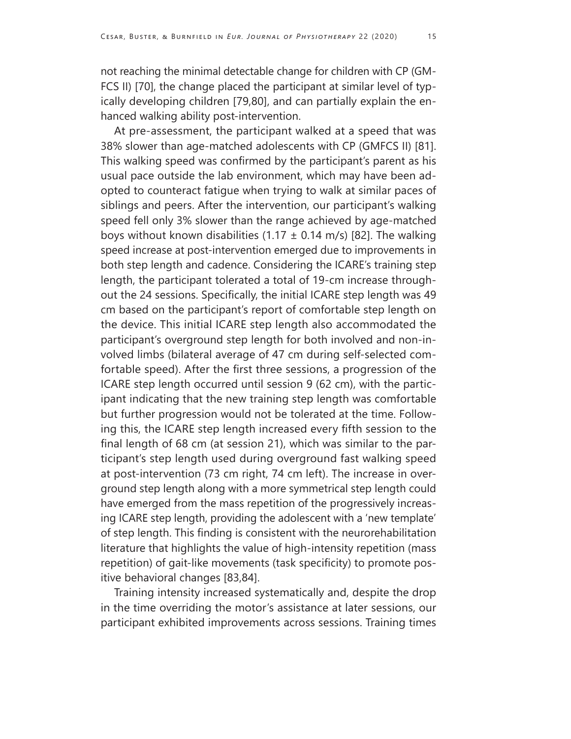not reaching the minimal detectable change for children with CP (GM-FCS II) [70], the change placed the participant at similar level of typically developing children [79,80], and can partially explain the enhanced walking ability post-intervention.

At pre-assessment, the participant walked at a speed that was 38% slower than age-matched adolescents with CP (GMFCS II) [81]. This walking speed was confirmed by the participant's parent as his usual pace outside the lab environment, which may have been adopted to counteract fatigue when trying to walk at similar paces of siblings and peers. After the intervention, our participant's walking speed fell only 3% slower than the range achieved by age-matched boys without known disabilities (1.17  $\pm$  0.14 m/s) [82]. The walking speed increase at post-intervention emerged due to improvements in both step length and cadence. Considering the ICARE's training step length, the participant tolerated a total of 19-cm increase throughout the 24 sessions. Specifically, the initial ICARE step length was 49 cm based on the participant's report of comfortable step length on the device. This initial ICARE step length also accommodated the participant's overground step length for both involved and non-involved limbs (bilateral average of 47 cm during self-selected comfortable speed). After the first three sessions, a progression of the ICARE step length occurred until session 9 (62 cm), with the participant indicating that the new training step length was comfortable but further progression would not be tolerated at the time. Following this, the ICARE step length increased every fifth session to the final length of 68 cm (at session 21), which was similar to the participant's step length used during overground fast walking speed at post-intervention (73 cm right, 74 cm left). The increase in overground step length along with a more symmetrical step length could have emerged from the mass repetition of the progressively increasing ICARE step length, providing the adolescent with a 'new template' of step length. This finding is consistent with the neurorehabilitation literature that highlights the value of high-intensity repetition (mass repetition) of gait-like movements (task specificity) to promote positive behavioral changes [83,84].

Training intensity increased systematically and, despite the drop in the time overriding the motor's assistance at later sessions, our participant exhibited improvements across sessions. Training times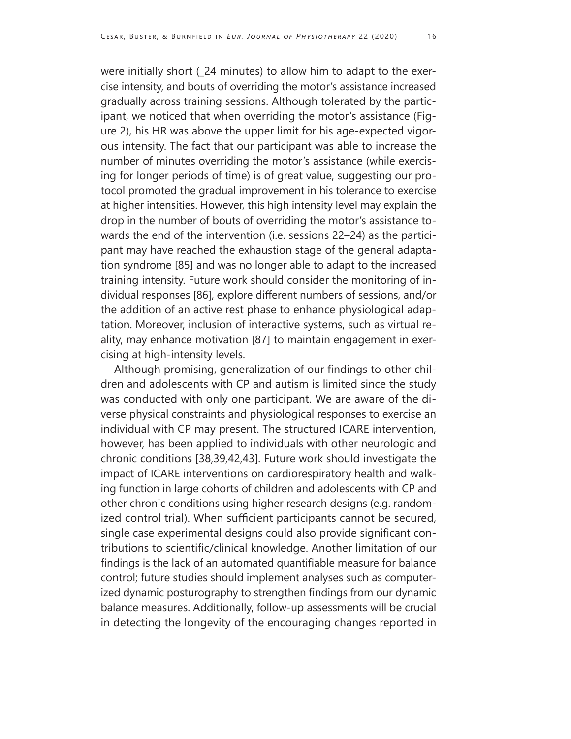were initially short (\_24 minutes) to allow him to adapt to the exercise intensity, and bouts of overriding the motor's assistance increased gradually across training sessions. Although tolerated by the participant, we noticed that when overriding the motor's assistance (Figure 2), his HR was above the upper limit for his age-expected vigorous intensity. The fact that our participant was able to increase the number of minutes overriding the motor's assistance (while exercising for longer periods of time) is of great value, suggesting our protocol promoted the gradual improvement in his tolerance to exercise at higher intensities. However, this high intensity level may explain the drop in the number of bouts of overriding the motor's assistance towards the end of the intervention (i.e. sessions 22–24) as the participant may have reached the exhaustion stage of the general adaptation syndrome [85] and was no longer able to adapt to the increased training intensity. Future work should consider the monitoring of individual responses [86], explore different numbers of sessions, and/or the addition of an active rest phase to enhance physiological adaptation. Moreover, inclusion of interactive systems, such as virtual reality, may enhance motivation [87] to maintain engagement in exercising at high-intensity levels.

Although promising, generalization of our findings to other children and adolescents with CP and autism is limited since the study was conducted with only one participant. We are aware of the diverse physical constraints and physiological responses to exercise an individual with CP may present. The structured ICARE intervention, however, has been applied to individuals with other neurologic and chronic conditions [38,39,42,43]. Future work should investigate the impact of ICARE interventions on cardiorespiratory health and walking function in large cohorts of children and adolescents with CP and other chronic conditions using higher research designs (e.g. randomized control trial). When sufficient participants cannot be secured, single case experimental designs could also provide significant contributions to scientific/clinical knowledge. Another limitation of our findings is the lack of an automated quantifiable measure for balance control; future studies should implement analyses such as computerized dynamic posturography to strengthen findings from our dynamic balance measures. Additionally, follow-up assessments will be crucial in detecting the longevity of the encouraging changes reported in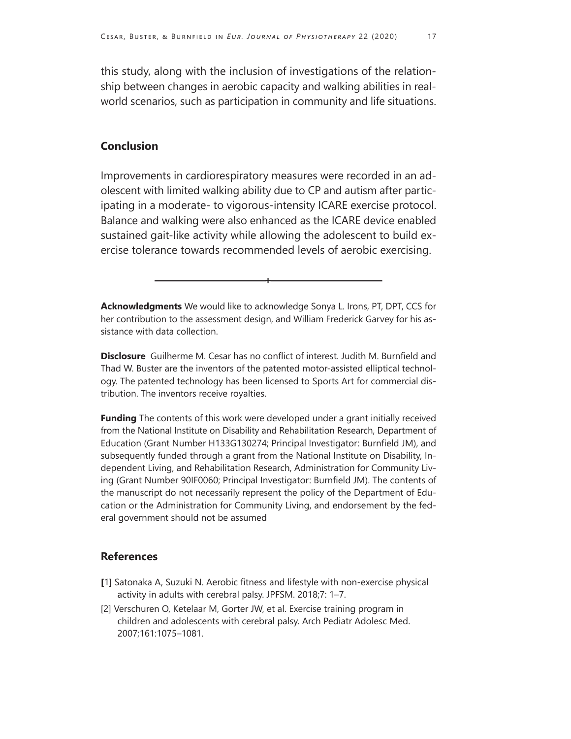this study, along with the inclusion of investigations of the relationship between changes in aerobic capacity and walking abilities in realworld scenarios, such as participation in community and life situations.

#### **Conclusion**

Improvements in cardiorespiratory measures were recorded in an adolescent with limited walking ability due to CP and autism after participating in a moderate- to vigorous-intensity ICARE exercise protocol. Balance and walking were also enhanced as the ICARE device enabled sustained gait-like activity while allowing the adolescent to build exercise tolerance towards recommended levels of aerobic exercising. moderate- to vigorous<br>d walking were also enh<br>pait-like activity while al<br>ance towards recomme<br>**ments** We would like to ack s-intensity ICARE exercis<br>nanced as the ICARE devi<br>Illowing the adolescent t<br>ended levels of aerobic<br>+<br>knowledge Sonya L. Irons, PT,

**Acknowledgments**  We would like to acknowledge Sonya L. Irons, PT, DPT, CCS for her contribution to the assessment design, and William Frederick Garvey for his assistance with data collection.

**Disclosure** Guilherme M. Cesar has no conflict of interest. Judith M. Burnfield and Thad W. Buster are the inventors of the patented motor-assisted elliptical technology. The patented technology has been licensed to Sports Art for commercial distribution. The inventors receive royalties.

**Funding** The contents of this work were developed under a grant initially received from the National Institute on Disability and Rehabilitation Research, Department of Education (Grant Number H133G130274; Principal Investigator: Burnfield JM), and subsequently funded through a grant from the National Institute on Disability, Independent Living, and Rehabilitation Research, Administration for Community Living (Grant Number 90IF0060; Principal Investigator: Burnfield JM). The contents of the manuscript do not necessarily represent the policy of the Department of Education or the Administration for Community Living, and endorsement by the federal government should not be assumed

#### **References**

- **[**1] Satonaka A, Suzuki N. Aerobic fitness and lifestyle with non-exercise physical activity in adults with cerebral palsy. JPFSM. 2018;7: 1–7.
- [2] Verschuren O, Ketelaar M, Gorter JW, et al. Exercise training program in children and adolescents with cerebral palsy. Arch Pediatr Adolesc Med. 2007;161:1075–1081.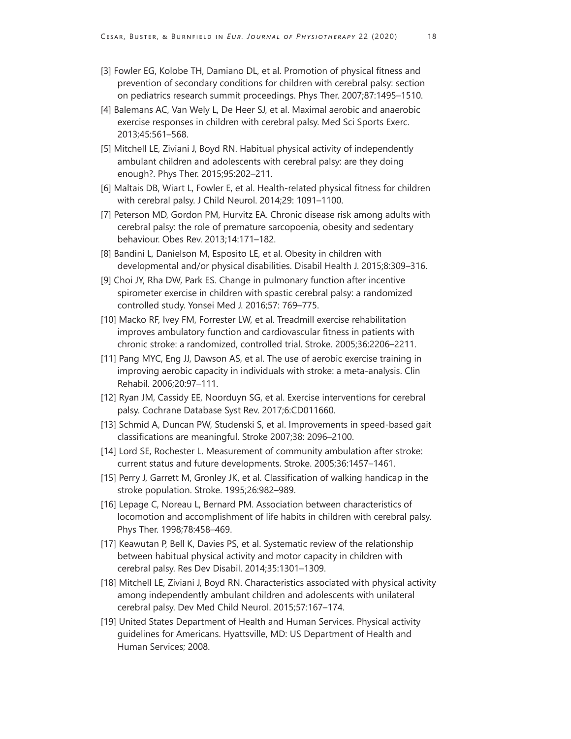- [3] Fowler EG, Kolobe TH, Damiano DL, et al. Promotion of physical fitness and prevention of secondary conditions for children with cerebral palsy: section on pediatrics research summit proceedings. Phys Ther. 2007;87:1495–1510.
- [4] Balemans AC, Van Wely L, De Heer SJ, et al. Maximal aerobic and anaerobic exercise responses in children with cerebral palsy. Med Sci Sports Exerc. 2013;45:561–568.
- [5] Mitchell LE, Ziviani J, Boyd RN. Habitual physical activity of independently ambulant children and adolescents with cerebral palsy: are they doing enough?. Phys Ther. 2015;95:202–211.
- [6] Maltais DB, Wiart L, Fowler E, et al. Health-related physical fitness for children with cerebral palsy. J Child Neurol. 2014;29: 1091–1100.
- [7] Peterson MD, Gordon PM, Hurvitz EA. Chronic disease risk among adults with cerebral palsy: the role of premature sarcopoenia, obesity and sedentary behaviour. Obes Rev. 2013;14:171–182.
- [8] Bandini L, Danielson M, Esposito LE, et al. Obesity in children with developmental and/or physical disabilities. Disabil Health J. 2015;8:309–316.
- [9] Choi JY, Rha DW, Park ES. Change in pulmonary function after incentive spirometer exercise in children with spastic cerebral palsy: a randomized controlled study. Yonsei Med J. 2016;57: 769–775.
- [10] Macko RF, Ivey FM, Forrester LW, et al. Treadmill exercise rehabilitation improves ambulatory function and cardiovascular fitness in patients with chronic stroke: a randomized, controlled trial. Stroke. 2005;36:2206–2211.
- [11] Pang MYC, Eng JJ, Dawson AS, et al. The use of aerobic exercise training in improving aerobic capacity in individuals with stroke: a meta-analysis. Clin Rehabil. 2006;20:97–111.
- [12] Ryan JM, Cassidy EE, Noorduyn SG, et al. Exercise interventions for cerebral palsy. Cochrane Database Syst Rev. 2017;6:CD011660.
- [13] Schmid A, Duncan PW, Studenski S, et al. Improvements in speed-based gait classifications are meaningful. Stroke 2007;38: 2096–2100.
- [14] Lord SE, Rochester L. Measurement of community ambulation after stroke: current status and future developments. Stroke. 2005;36:1457–1461.
- [15] Perry J, Garrett M, Gronley JK, et al. Classification of walking handicap in the stroke population. Stroke. 1995;26:982–989.
- [16] Lepage C, Noreau L, Bernard PM. Association between characteristics of locomotion and accomplishment of life habits in children with cerebral palsy. Phys Ther. 1998;78:458–469.
- [17] Keawutan P, Bell K, Davies PS, et al. Systematic review of the relationship between habitual physical activity and motor capacity in children with cerebral palsy. Res Dev Disabil. 2014;35:1301–1309.
- [18] Mitchell LE, Ziviani J, Boyd RN. Characteristics associated with physical activity among independently ambulant children and adolescents with unilateral cerebral palsy. Dev Med Child Neurol. 2015;57:167–174.
- [19] United States Department of Health and Human Services. Physical activity guidelines for Americans. Hyattsville, MD: US Department of Health and Human Services; 2008.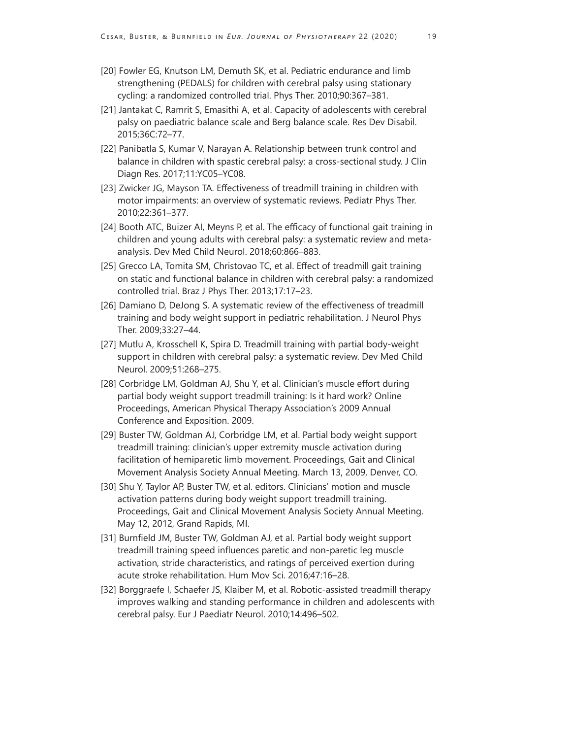- [20] Fowler EG, Knutson LM, Demuth SK, et al. Pediatric endurance and limb strengthening (PEDALS) for children with cerebral palsy using stationary cycling: a randomized controlled trial. Phys Ther. 2010;90:367–381.
- [21] Jantakat C, Ramrit S, Emasithi A, et al. Capacity of adolescents with cerebral palsy on paediatric balance scale and Berg balance scale. Res Dev Disabil. 2015;36C:72–77.
- [22] Panibatla S, Kumar V, Narayan A. Relationship between trunk control and balance in children with spastic cerebral palsy: a cross-sectional study. J Clin Diagn Res. 2017;11:YC05–YC08.
- [23] Zwicker JG, Mayson TA. Effectiveness of treadmill training in children with motor impairments: an overview of systematic reviews. Pediatr Phys Ther. 2010;22:361–377.
- [24] Booth ATC, Buizer AI, Meyns P, et al. The efficacy of functional gait training in children and young adults with cerebral palsy: a systematic review and metaanalysis. Dev Med Child Neurol. 2018;60:866–883.
- [25] Grecco LA, Tomita SM, Christovao TC, et al. Effect of treadmill gait training on static and functional balance in children with cerebral palsy: a randomized controlled trial. Braz J Phys Ther. 2013;17:17–23.
- [26] Damiano D, DeJong S. A systematic review of the effectiveness of treadmill training and body weight support in pediatric rehabilitation. J Neurol Phys Ther. 2009;33:27–44.
- [27] Mutlu A, Krosschell K, Spira D. Treadmill training with partial body-weight support in children with cerebral palsy: a systematic review. Dev Med Child Neurol. 2009;51:268–275.
- [28] Corbridge LM, Goldman AJ, Shu Y, et al. Clinician's muscle effort during partial body weight support treadmill training: Is it hard work? Online Proceedings, American Physical Therapy Association's 2009 Annual Conference and Exposition. 2009.
- [29] Buster TW, Goldman AJ, Corbridge LM, et al. Partial body weight support treadmill training: clinician's upper extremity muscle activation during facilitation of hemiparetic limb movement. Proceedings, Gait and Clinical Movement Analysis Society Annual Meeting. March 13, 2009, Denver, CO.
- [30] Shu Y, Taylor AP, Buster TW, et al. editors. Clinicians' motion and muscle activation patterns during body weight support treadmill training. Proceedings, Gait and Clinical Movement Analysis Society Annual Meeting. May 12, 2012, Grand Rapids, MI.
- [31] Burnfield JM, Buster TW, Goldman AJ, et al. Partial body weight support treadmill training speed influences paretic and non-paretic leg muscle activation, stride characteristics, and ratings of perceived exertion during acute stroke rehabilitation. Hum Mov Sci. 2016;47:16–28.
- [32] Borggraefe I, Schaefer JS, Klaiber M, et al. Robotic-assisted treadmill therapy improves walking and standing performance in children and adolescents with cerebral palsy. Eur J Paediatr Neurol. 2010;14:496–502.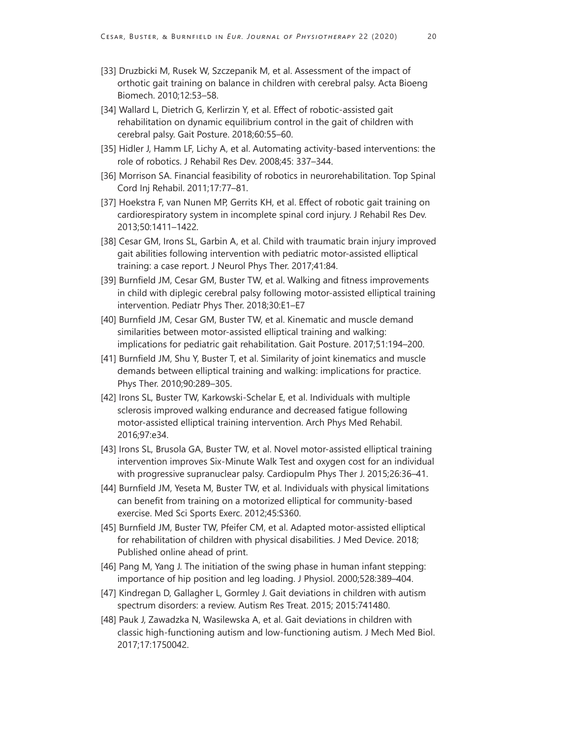- [33] Druzbicki M, Rusek W, Szczepanik M, et al. Assessment of the impact of orthotic gait training on balance in children with cerebral palsy. Acta Bioeng Biomech. 2010;12:53–58.
- [34] Wallard L, Dietrich G, Kerlirzin Y, et al. Effect of robotic-assisted gait rehabilitation on dynamic equilibrium control in the gait of children with cerebral palsy. Gait Posture. 2018;60:55–60.
- [35] Hidler J, Hamm LF, Lichy A, et al. Automating activity-based interventions: the role of robotics. J Rehabil Res Dev. 2008;45: 337–344.
- [36] Morrison SA. Financial feasibility of robotics in neurorehabilitation. Top Spinal Cord Inj Rehabil. 2011;17:77–81.
- [37] Hoekstra F, van Nunen MP, Gerrits KH, et al. Effect of robotic gait training on cardiorespiratory system in incomplete spinal cord injury. J Rehabil Res Dev. 2013;50:1411–1422.
- [38] Cesar GM, Irons SL, Garbin A, et al. Child with traumatic brain injury improved gait abilities following intervention with pediatric motor-assisted elliptical training: a case report. J Neurol Phys Ther. 2017;41:84.
- [39] Burnfield JM, Cesar GM, Buster TW, et al. Walking and fitness improvements in child with diplegic cerebral palsy following motor-assisted elliptical training intervention. Pediatr Phys Ther. 2018;30:E1–E7
- [40] Burnfield JM, Cesar GM, Buster TW, et al. Kinematic and muscle demand similarities between motor-assisted elliptical training and walking: implications for pediatric gait rehabilitation. Gait Posture. 2017;51:194–200.
- [41] Burnfield JM, Shu Y, Buster T, et al. Similarity of joint kinematics and muscle demands between elliptical training and walking: implications for practice. Phys Ther. 2010;90:289–305.
- [42] Irons SL, Buster TW, Karkowski-Schelar E, et al. Individuals with multiple sclerosis improved walking endurance and decreased fatigue following motor-assisted elliptical training intervention. Arch Phys Med Rehabil. 2016;97:e34.
- [43] Irons SL, Brusola GA, Buster TW, et al. Novel motor-assisted elliptical training intervention improves Six-Minute Walk Test and oxygen cost for an individual with progressive supranuclear palsy. Cardiopulm Phys Ther J. 2015;26:36–41.
- [44] Burnfield JM, Yeseta M, Buster TW, et al. Individuals with physical limitations can benefit from training on a motorized elliptical for community-based exercise. Med Sci Sports Exerc. 2012;45:S360.
- [45] Burnfield JM, Buster TW, Pfeifer CM, et al. Adapted motor-assisted elliptical for rehabilitation of children with physical disabilities. J Med Device. 2018; Published online ahead of print.
- [46] Pang M, Yang J. The initiation of the swing phase in human infant stepping: importance of hip position and leg loading. J Physiol. 2000;528:389–404.
- [47] Kindregan D, Gallagher L, Gormley J. Gait deviations in children with autism spectrum disorders: a review. Autism Res Treat. 2015; 2015:741480.
- [48] Pauk J, Zawadzka N, Wasilewska A, et al. Gait deviations in children with classic high-functioning autism and low-functioning autism. J Mech Med Biol. 2017;17:1750042.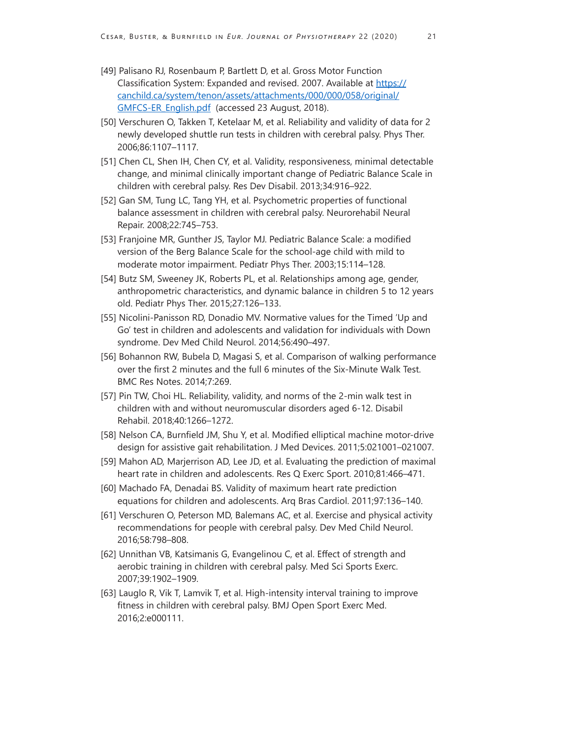- [49] Palisano RJ, Rosenbaum P, Bartlett D, et al. Gross Motor Function Classification System: Expanded and revised. 2007. Available at [https://](https://canchild.ca/system/tenon/assets/attachments/000/000/058/original/GMFCS-ER_English.pdf) [canchild.ca/system/tenon/assets/attachments/000/000/058/original/](https://canchild.ca/system/tenon/assets/attachments/000/000/058/original/GMFCS-ER_English.pdf) [GMFCS-ER\\_English.pdf](https://canchild.ca/system/tenon/assets/attachments/000/000/058/original/GMFCS-ER_English.pdf) (accessed 23 August, 2018).
- [50] Verschuren O, Takken T, Ketelaar M, et al. Reliability and validity of data for 2 newly developed shuttle run tests in children with cerebral palsy. Phys Ther. 2006;86:1107–1117.
- [51] Chen CL, Shen IH, Chen CY, et al. Validity, responsiveness, minimal detectable change, and minimal clinically important change of Pediatric Balance Scale in children with cerebral palsy. Res Dev Disabil. 2013;34:916–922.
- [52] Gan SM, Tung LC, Tang YH, et al. Psychometric properties of functional balance assessment in children with cerebral palsy. Neurorehabil Neural Repair. 2008;22:745–753.
- [53] Franjoine MR, Gunther JS, Taylor MJ. Pediatric Balance Scale: a modified version of the Berg Balance Scale for the school-age child with mild to moderate motor impairment. Pediatr Phys Ther. 2003;15:114–128.
- [54] Butz SM, Sweeney JK, Roberts PL, et al. Relationships among age, gender, anthropometric characteristics, and dynamic balance in children 5 to 12 years old. Pediatr Phys Ther. 2015;27:126–133.
- [55] Nicolini-Panisson RD, Donadio MV. Normative values for the Timed 'Up and Go' test in children and adolescents and validation for individuals with Down syndrome. Dev Med Child Neurol. 2014;56:490–497.
- [56] Bohannon RW, Bubela D, Magasi S, et al. Comparison of walking performance over the first 2 minutes and the full 6 minutes of the Six-Minute Walk Test. BMC Res Notes. 2014;7:269.
- [57] Pin TW, Choi HL. Reliability, validity, and norms of the 2-min walk test in children with and without neuromuscular disorders aged 6-12. Disabil Rehabil. 2018;40:1266–1272.
- [58] Nelson CA, Burnfield JM, Shu Y, et al. Modified elliptical machine motor-drive design for assistive gait rehabilitation. J Med Devices. 2011;5:021001–021007.
- [59] Mahon AD, Marjerrison AD, Lee JD, et al. Evaluating the prediction of maximal heart rate in children and adolescents. Res Q Exerc Sport. 2010;81:466–471.
- [60] Machado FA, Denadai BS. Validity of maximum heart rate prediction equations for children and adolescents. Arq Bras Cardiol. 2011;97:136–140.
- [61] Verschuren O, Peterson MD, Balemans AC, et al. Exercise and physical activity recommendations for people with cerebral palsy. Dev Med Child Neurol. 2016;58:798–808.
- [62] Unnithan VB, Katsimanis G, Evangelinou C, et al. Effect of strength and aerobic training in children with cerebral palsy. Med Sci Sports Exerc. 2007;39:1902–1909.
- [63] Lauglo R, Vik T, Lamvik T, et al. High-intensity interval training to improve fitness in children with cerebral palsy. BMJ Open Sport Exerc Med. 2016;2:e000111.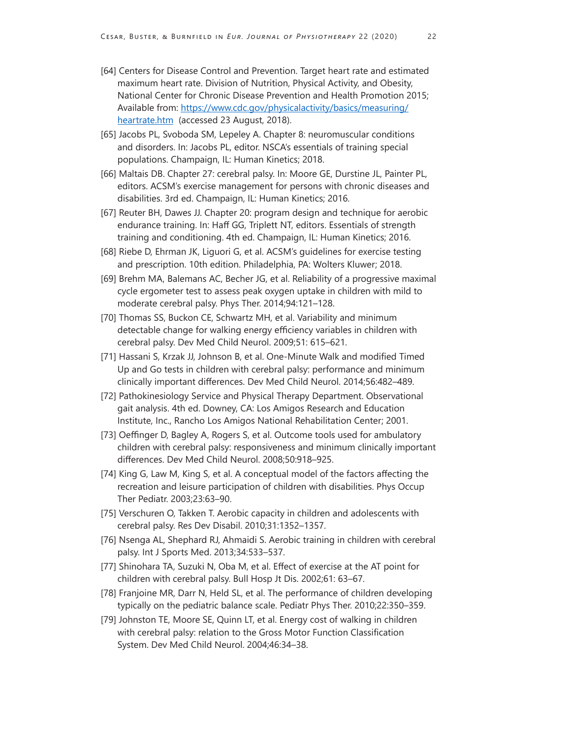- [64] Centers for Disease Control and Prevention. Target heart rate and estimated maximum heart rate. Division of Nutrition, Physical Activity, and Obesity, National Center for Chronic Disease Prevention and Health Promotion 2015; Available from: [https://www.cdc.gov/physicalactivity/basics/measuring/](https://www.cdc.gov/physicalactivity/basics/measuring/heartrate.htm) [heartrate.htm](https://www.cdc.gov/physicalactivity/basics/measuring/heartrate.htm) (accessed 23 August, 2018).
- [65] Jacobs PL, Svoboda SM, Lepeley A. Chapter 8: neuromuscular conditions and disorders. In: Jacobs PL, editor. NSCA's essentials of training special populations. Champaign, IL: Human Kinetics; 2018.
- [66] Maltais DB. Chapter 27: cerebral palsy. In: Moore GE, Durstine JL, Painter PL, editors. ACSM's exercise management for persons with chronic diseases and disabilities. 3rd ed. Champaign, IL: Human Kinetics; 2016.
- [67] Reuter BH, Dawes JJ. Chapter 20: program design and technique for aerobic endurance training. In: Haff GG, Triplett NT, editors. Essentials of strength training and conditioning. 4th ed. Champaign, IL: Human Kinetics; 2016.
- [68] Riebe D, Ehrman JK, Liguori G, et al. ACSM's guidelines for exercise testing and prescription. 10th edition. Philadelphia, PA: Wolters Kluwer; 2018.
- [69] Brehm MA, Balemans AC, Becher JG, et al. Reliability of a progressive maximal cycle ergometer test to assess peak oxygen uptake in children with mild to moderate cerebral palsy. Phys Ther. 2014;94:121–128.
- [70] Thomas SS, Buckon CE, Schwartz MH, et al. Variability and minimum detectable change for walking energy efficiency variables in children with cerebral palsy. Dev Med Child Neurol. 2009;51: 615–621.
- [71] Hassani S, Krzak JJ, Johnson B, et al. One-Minute Walk and modified Timed Up and Go tests in children with cerebral palsy: performance and minimum clinically important differences. Dev Med Child Neurol. 2014;56:482–489.
- [72] Pathokinesiology Service and Physical Therapy Department. Observational gait analysis. 4th ed. Downey, CA: Los Amigos Research and Education Institute, Inc., Rancho Los Amigos National Rehabilitation Center; 2001.
- [73] Oeffinger D, Bagley A, Rogers S, et al. Outcome tools used for ambulatory children with cerebral palsy: responsiveness and minimum clinically important differences. Dev Med Child Neurol. 2008;50:918–925.
- [74] King G, Law M, King S, et al. A conceptual model of the factors affecting the recreation and leisure participation of children with disabilities. Phys Occup Ther Pediatr. 2003;23:63–90.
- [75] Verschuren O, Takken T. Aerobic capacity in children and adolescents with cerebral palsy. Res Dev Disabil. 2010;31:1352–1357.
- [76] Nsenga AL, Shephard RJ, Ahmaidi S. Aerobic training in children with cerebral palsy. Int J Sports Med. 2013;34:533–537.
- [77] Shinohara TA, Suzuki N, Oba M, et al. Effect of exercise at the AT point for children with cerebral palsy. Bull Hosp Jt Dis. 2002;61: 63–67.
- [78] Franjoine MR, Darr N, Held SL, et al. The performance of children developing typically on the pediatric balance scale. Pediatr Phys Ther. 2010;22:350–359.
- [79] Johnston TE, Moore SE, Quinn LT, et al. Energy cost of walking in children with cerebral palsy: relation to the Gross Motor Function Classification System. Dev Med Child Neurol. 2004;46:34–38.